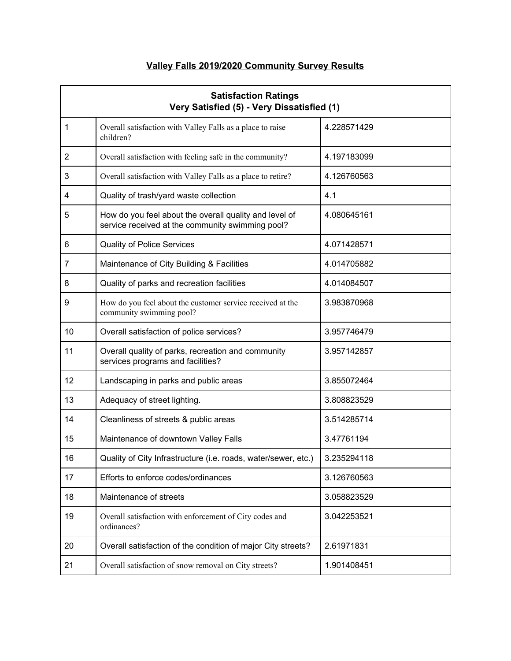# **Valley Falls 2019/2020 Community Survey Results**

| <b>Satisfaction Ratings</b><br>Very Satisfied (5) - Very Dissatisfied (1) |                                                                                                            |             |
|---------------------------------------------------------------------------|------------------------------------------------------------------------------------------------------------|-------------|
| 1                                                                         | Overall satisfaction with Valley Falls as a place to raise<br>children?                                    | 4.228571429 |
| 2                                                                         | Overall satisfaction with feeling safe in the community?                                                   | 4.197183099 |
| 3                                                                         | Overall satisfaction with Valley Falls as a place to retire?                                               | 4.126760563 |
| 4                                                                         | Quality of trash/yard waste collection                                                                     | 4.1         |
| 5                                                                         | How do you feel about the overall quality and level of<br>service received at the community swimming pool? | 4.080645161 |
| 6                                                                         | <b>Quality of Police Services</b>                                                                          | 4.071428571 |
| 7                                                                         | Maintenance of City Building & Facilities                                                                  | 4.014705882 |
| 8                                                                         | Quality of parks and recreation facilities                                                                 | 4.014084507 |
| 9                                                                         | How do you feel about the customer service received at the<br>community swimming pool?                     | 3.983870968 |
| 10                                                                        | Overall satisfaction of police services?                                                                   | 3.957746479 |
| 11                                                                        | Overall quality of parks, recreation and community<br>services programs and facilities?                    | 3.957142857 |
| 12                                                                        | Landscaping in parks and public areas                                                                      | 3.855072464 |
| 13                                                                        | Adequacy of street lighting.                                                                               | 3.808823529 |
| 14                                                                        | Cleanliness of streets & public areas                                                                      | 3.514285714 |
| 15                                                                        | Maintenance of downtown Valley Falls                                                                       | 3.47761194  |
| 16                                                                        | Quality of City Infrastructure (i.e. roads, water/sewer, etc.)                                             | 3.235294118 |
| 17                                                                        | Efforts to enforce codes/ordinances                                                                        | 3.126760563 |
| 18                                                                        | Maintenance of streets                                                                                     | 3.058823529 |
| 19                                                                        | Overall satisfaction with enforcement of City codes and<br>ordinances?                                     | 3.042253521 |
| 20                                                                        | Overall satisfaction of the condition of major City streets?                                               | 2.61971831  |
| 21                                                                        | Overall satisfaction of snow removal on City streets?                                                      | 1.901408451 |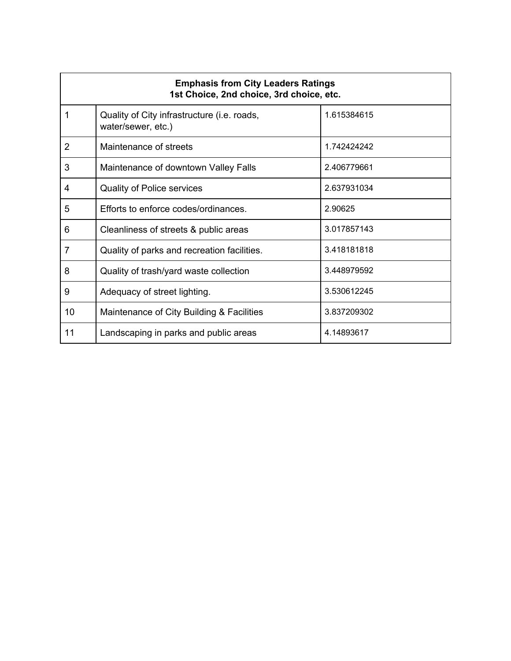| <b>Emphasis from City Leaders Ratings</b><br>1st Choice, 2nd choice, 3rd choice, etc. |                                                                   |             |
|---------------------------------------------------------------------------------------|-------------------------------------------------------------------|-------------|
| 1                                                                                     | Quality of City infrastructure (i.e. roads,<br>water/sewer, etc.) | 1.615384615 |
| 2                                                                                     | Maintenance of streets                                            | 1.742424242 |
| 3                                                                                     | Maintenance of downtown Valley Falls                              | 2.406779661 |
| 4                                                                                     | <b>Quality of Police services</b>                                 | 2.637931034 |
| 5                                                                                     | Efforts to enforce codes/ordinances.                              | 2.90625     |
| 6                                                                                     | Cleanliness of streets & public areas                             | 3.017857143 |
| 7                                                                                     | Quality of parks and recreation facilities.                       | 3.418181818 |
| 8                                                                                     | Quality of trash/yard waste collection                            | 3.448979592 |
| 9                                                                                     | Adequacy of street lighting.                                      | 3.530612245 |
| 10                                                                                    | Maintenance of City Building & Facilities                         | 3.837209302 |
| 11                                                                                    | Landscaping in parks and public areas                             | 4.14893617  |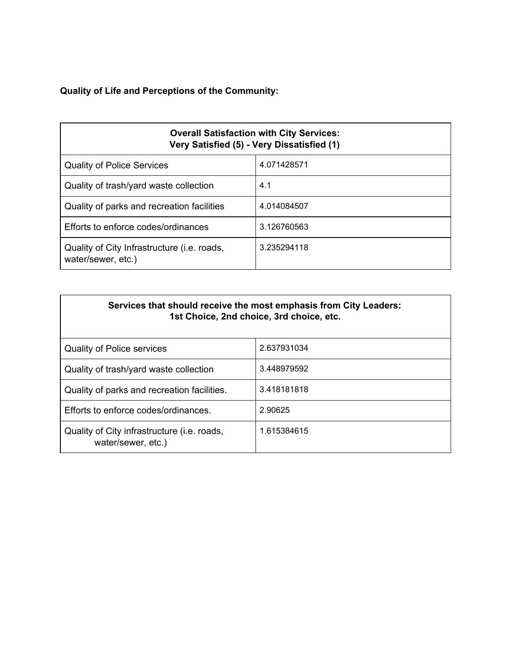# **Quality of Life and Perceptions of the Community:**

| <b>Overall Satisfaction with City Services:</b><br>Very Satisfied (5) - Very Dissatisfied (1) |             |  |
|-----------------------------------------------------------------------------------------------|-------------|--|
| <b>Quality of Police Services</b>                                                             | 4.071428571 |  |
| Quality of trash/yard waste collection                                                        | 4.1         |  |
| Quality of parks and recreation facilities                                                    | 4.014084507 |  |
| Efforts to enforce codes/ordinances                                                           | 3.126760563 |  |
| Quality of City Infrastructure ( <i>i.e.</i> roads,<br>water/sewer, etc.)                     | 3.235294118 |  |

| Services that should receive the most emphasis from City Leaders: |
|-------------------------------------------------------------------|
| 1st Choice, 2nd choice, 3rd choice, etc.                          |

| <b>Quality of Police services</b>                                 | 2.637931034 |
|-------------------------------------------------------------------|-------------|
| Quality of trash/yard waste collection                            | 3.448979592 |
| Quality of parks and recreation facilities.                       | 3.418181818 |
| Efforts to enforce codes/ordinances.                              | 2.90625     |
| Quality of City infrastructure (i.e. roads,<br>water/sewer, etc.) | 1.615384615 |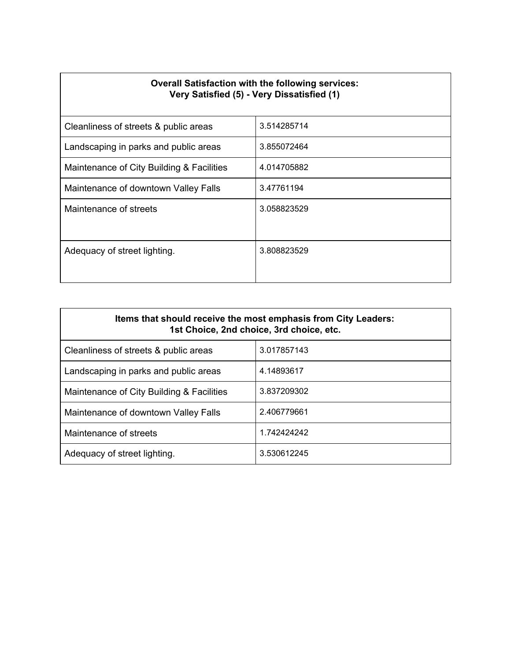| <b>Overall Satisfaction with the following services:</b><br>Very Satisfied (5) - Very Dissatisfied (1) |             |  |
|--------------------------------------------------------------------------------------------------------|-------------|--|
| Cleanliness of streets & public areas                                                                  | 3.514285714 |  |
| Landscaping in parks and public areas                                                                  | 3.855072464 |  |
| Maintenance of City Building & Facilities                                                              | 4.014705882 |  |
| Maintenance of downtown Valley Falls                                                                   | 3.47761194  |  |
| Maintenance of streets                                                                                 | 3.058823529 |  |
| Adequacy of street lighting.                                                                           | 3.808823529 |  |

| Items that should receive the most emphasis from City Leaders:<br>1st Choice, 2nd choice, 3rd choice, etc. |             |  |
|------------------------------------------------------------------------------------------------------------|-------------|--|
| Cleanliness of streets & public areas                                                                      | 3.017857143 |  |
| Landscaping in parks and public areas                                                                      | 4.14893617  |  |
| Maintenance of City Building & Facilities                                                                  | 3.837209302 |  |
| Maintenance of downtown Valley Falls                                                                       | 2.406779661 |  |
| Maintenance of streets                                                                                     | 1.742424242 |  |
| Adequacy of street lighting.                                                                               | 3.530612245 |  |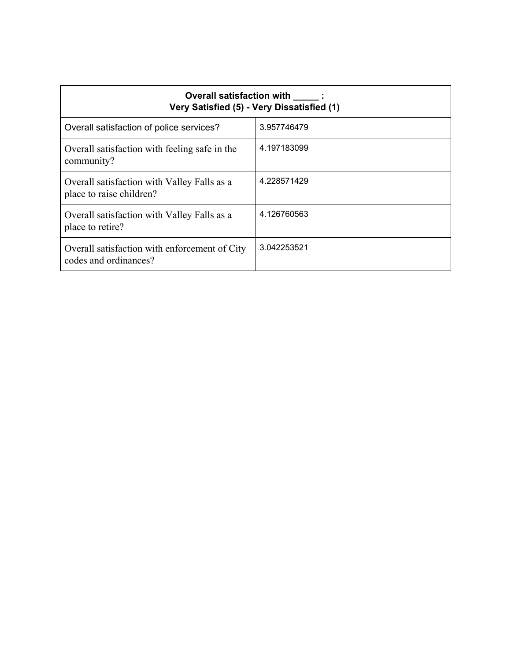| Overall satisfaction with :<br>Very Satisfied (5) - Very Dissatisfied (1) |             |  |
|---------------------------------------------------------------------------|-------------|--|
| Overall satisfaction of police services?                                  | 3.957746479 |  |
| Overall satisfaction with feeling safe in the<br>community?               | 4.197183099 |  |
| Overall satisfaction with Valley Falls as a<br>place to raise children?   | 4.228571429 |  |
| Overall satisfaction with Valley Falls as a<br>place to retire?           | 4.126760563 |  |
| Overall satisfaction with enforcement of City<br>codes and ordinances?    | 3.042253521 |  |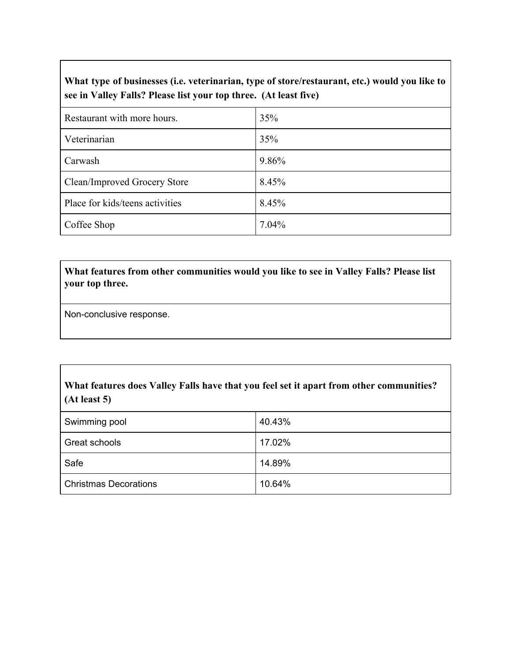### **What type of businesses (i.e. veterinarian, type of store/restaurant, etc.) would you like to see in Valley Falls? Please list your top three. (At least five)**

| Restaurant with more hours.     | 35%   |
|---------------------------------|-------|
| Veterinarian                    | 35%   |
| Carwash                         | 9.86% |
| Clean/Improved Grocery Store    | 8.45% |
| Place for kids/teens activities | 8.45% |
| Coffee Shop                     | 7.04% |

### **What features from other communities would you like to see in Valley Falls? Please list your top three.**

Non-conclusive response.

### **What features does Valley Falls have that you feel set it apart from other communities? (At least 5)**

| Swimming pool                | 40.43% |
|------------------------------|--------|
| Great schools                | 17.02% |
| Safe                         | 14.89% |
| <b>Christmas Decorations</b> | 10.64% |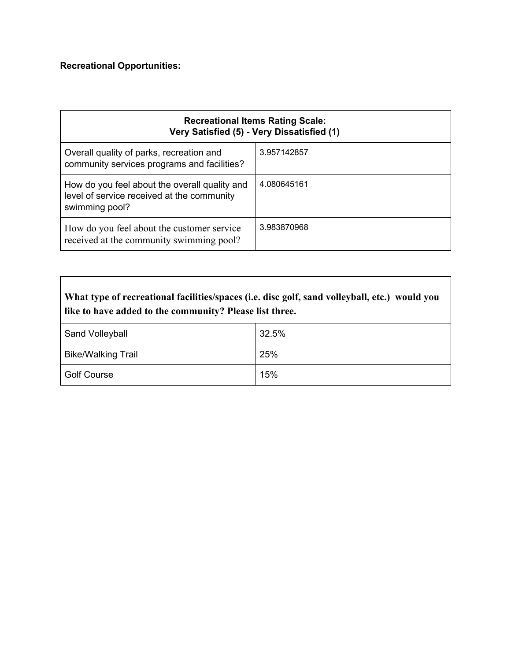# **Recreational Opportunities:**

| <b>Recreational Items Rating Scale:</b><br>Very Satisfied (5) - Very Dissatisfied (1)                         |             |
|---------------------------------------------------------------------------------------------------------------|-------------|
| Overall quality of parks, recreation and<br>community services programs and facilities?                       | 3.957142857 |
| How do you feel about the overall quality and<br>level of service received at the community<br>swimming pool? | 4.080645161 |
| How do you feel about the customer service<br>received at the community swimming pool?                        | 3.983870968 |

| What type of recreational facilities/spaces (i.e. disc golf, sand volleyball, etc.) would you<br>like to have added to the community? Please list three. |       |
|----------------------------------------------------------------------------------------------------------------------------------------------------------|-------|
| Sand Volleyball                                                                                                                                          | 32.5% |
| <b>Bike/Walking Trail</b>                                                                                                                                | 25%   |
| <b>Golf Course</b>                                                                                                                                       | 15%   |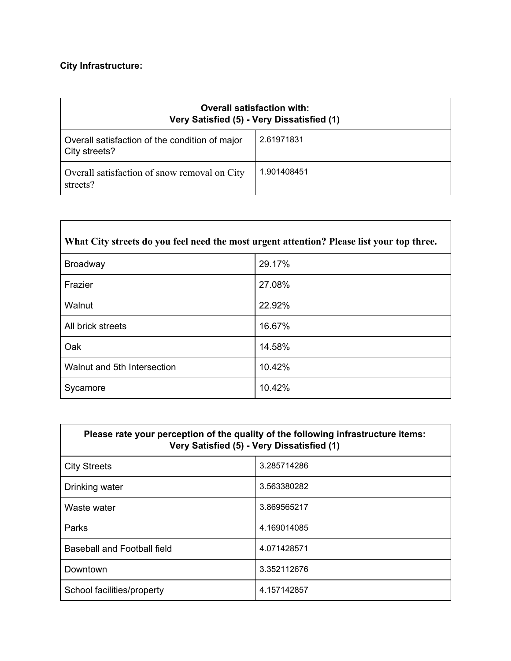# **City Infrastructure:**

| <b>Overall satisfaction with:</b><br>Very Satisfied (5) - Very Dissatisfied (1) |             |
|---------------------------------------------------------------------------------|-------------|
| Overall satisfaction of the condition of major<br>City streets?                 | 2.61971831  |
| Overall satisfaction of snow removal on City<br>streets?                        | 1.901408451 |

| What City streets do you feel need the most urgent attention? Please list your top three. |        |
|-------------------------------------------------------------------------------------------|--------|
| <b>Broadway</b>                                                                           | 29.17% |
| Frazier                                                                                   | 27.08% |
| Walnut                                                                                    | 22.92% |
| All brick streets                                                                         | 16.67% |
| Oak                                                                                       | 14.58% |
| Walnut and 5th Intersection                                                               | 10.42% |
| Sycamore                                                                                  | 10.42% |

| Please rate your perception of the quality of the following infrastructure items:<br>Very Satisfied (5) - Very Dissatisfied (1) |             |
|---------------------------------------------------------------------------------------------------------------------------------|-------------|
| <b>City Streets</b>                                                                                                             | 3.285714286 |
| Drinking water                                                                                                                  | 3.563380282 |
| Waste water                                                                                                                     | 3.869565217 |
| Parks                                                                                                                           | 4.169014085 |
| Baseball and Football field                                                                                                     | 4.071428571 |
| Downtown                                                                                                                        | 3.352112676 |
| School facilities/property                                                                                                      | 4.157142857 |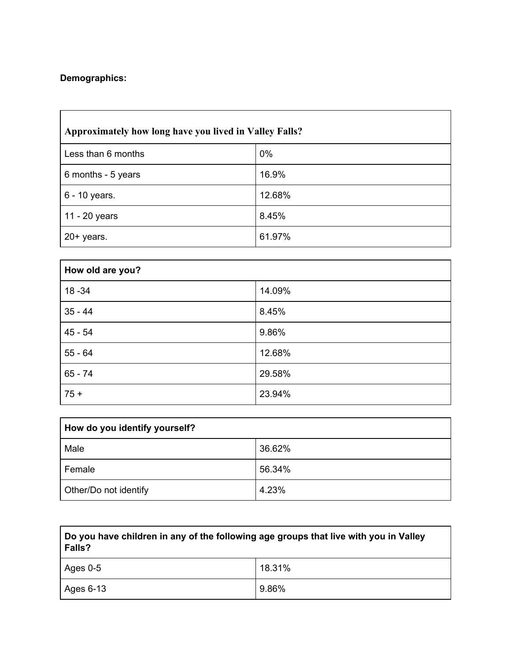# **Demographics:**

| Approximately how long have you lived in Valley Falls? |        |
|--------------------------------------------------------|--------|
| Less than 6 months                                     | 0%     |
| 6 months - 5 years                                     | 16.9%  |
| 6 - 10 years.                                          | 12.68% |
| 11 - 20 years                                          | 8.45%  |
| $20+$ years.                                           | 61.97% |

| How old are you? |        |
|------------------|--------|
| $18 - 34$        | 14.09% |
| $35 - 44$        | 8.45%  |
| $45 - 54$        | 9.86%  |
| $55 - 64$        | 12.68% |
| $65 - 74$        | 29.58% |
| $75 +$           | 23.94% |

| How do you identify yourself? |        |
|-------------------------------|--------|
| Male                          | 36.62% |
| Female                        | 56.34% |
| Other/Do not identify         | 4.23%  |

| Do you have children in any of the following age groups that live with you in Valley<br>Falls? |        |
|------------------------------------------------------------------------------------------------|--------|
| I Ages 0-5                                                                                     | 18.31% |
| Ages 6-13                                                                                      | 9.86%  |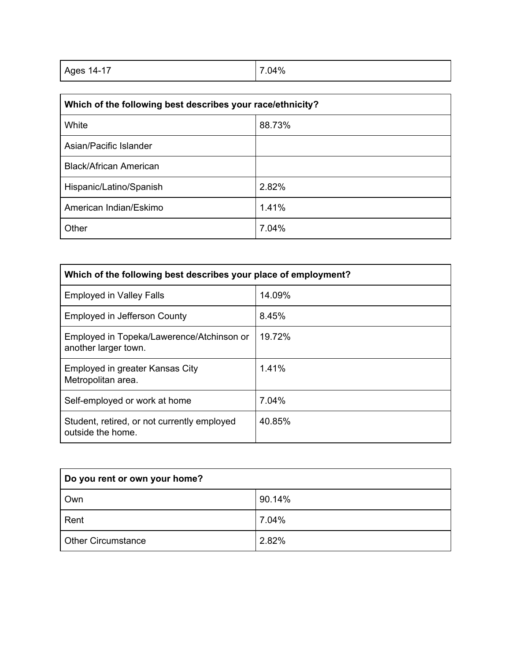| Ages 14-17 | 7.04% |
|------------|-------|
|            |       |

| Which of the following best describes your race/ethnicity? |        |
|------------------------------------------------------------|--------|
| White                                                      | 88.73% |
| Asian/Pacific Islander                                     |        |
| <b>Black/African American</b>                              |        |
| Hispanic/Latino/Spanish                                    | 2.82%  |
| American Indian/Eskimo                                     | 1.41%  |
| Other                                                      | 7.04%  |

| Which of the following best describes your place of employment?   |        |
|-------------------------------------------------------------------|--------|
| <b>Employed in Valley Falls</b>                                   | 14.09% |
| Employed in Jefferson County                                      | 8.45%  |
| Employed in Topeka/Lawerence/Atchinson or<br>another larger town. | 19.72% |
| Employed in greater Kansas City<br>Metropolitan area.             | 1.41%  |
| Self-employed or work at home                                     | 7.04%  |
| Student, retired, or not currently employed<br>outside the home.  | 40.85% |

| Do you rent or own your home? |        |
|-------------------------------|--------|
| Own                           | 90.14% |
| Rent                          | 7.04%  |
| <b>Other Circumstance</b>     | 2.82%  |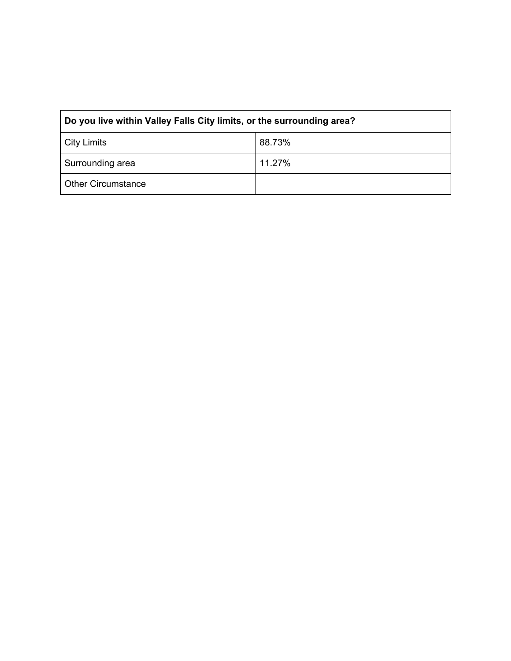| Do you live within Valley Falls City limits, or the surrounding area? |        |
|-----------------------------------------------------------------------|--------|
| City Limits                                                           | 88.73% |
| Surrounding area                                                      | 11.27% |
| <b>Other Circumstance</b>                                             |        |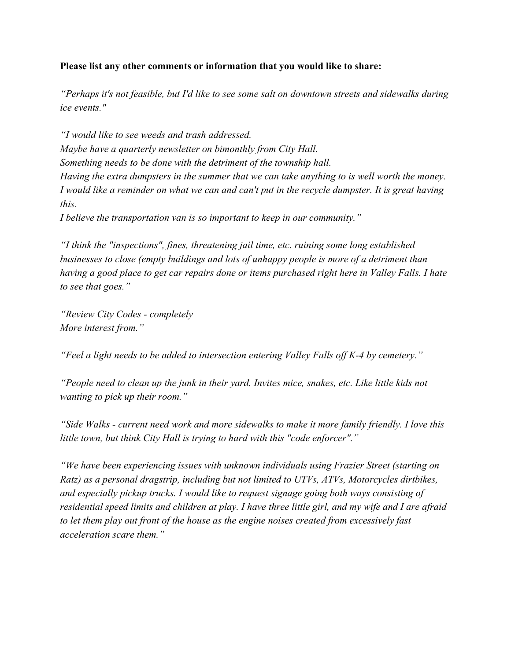#### **Please list any other comments or information that you would like to share:**

*"Perhaps it's not feasible, but I'd like to see some salt on downtown streets and sidewalks during ice events."*

*"I would like to see weeds and trash addressed. Maybe have a quarterly newsletter on bimonthly from City Hall. Something needs to be done with the detriment of the township hall. Having the extra dumpsters in the summer that we can take anything to is well worth the money. I would like a reminder on what we can and can't put in the recycle dumpster. It is great having this.*

*I believe the transportation van is so important to keep in our community."*

*"I think the "inspections", fines, threatening jail time, etc. ruining some long established businesses to close (empty buildings and lots of unhappy people is more of a detriment than having a good place to get car repairs done or items purchased right here in Valley Falls. I hate to see that goes."*

*"Review City Codes - completely More interest from."*

*"Feel a light needs to be added to intersection entering Valley Falls off K-4 by cemetery."*

*"People need to clean up the junk in their yard. Invites mice, snakes, etc. Like little kids not wanting to pick up their room."*

*"Side Walks - current need work and more sidewalks to make it more family friendly. I love this little town, but think City Hall is trying to hard with this "code enforcer"."*

*"We have been experiencing issues with unknown individuals using Frazier Street (starting on Ratz) as a personal dragstrip, including but not limited to UTVs, ATVs, Motorcycles dirtbikes, and especially pickup trucks. I would like to request signage going both ways consisting of residential speed limits and children at play. I have three little girl, and my wife and I are afraid to let them play out front of the house as the engine noises created from excessively fast acceleration scare them."*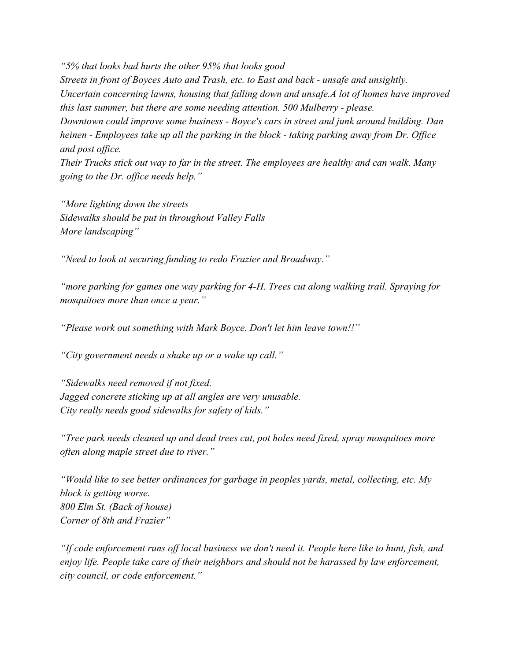*"5% that looks bad hurts the other 95% that looks good Streets in front of Boyces Auto and Trash, etc. to East and back - unsafe and unsightly. Uncertain concerning lawns, housing that falling down and unsafe.A lot of homes have improved this last summer, but there are some needing attention. 500 Mulberry - please. Downtown could improve some business - Boyce's cars in street and junk around building. Dan heinen - Employees take up all the parking in the block - taking parking away from Dr. Office and post office. Their Trucks stick out way to far in the street. The employees are healthy and can walk. Many going to the Dr. office needs help."*

*"More lighting down the streets Sidewalks should be put in throughout Valley Falls More landscaping"*

*"Need to look at securing funding to redo Frazier and Broadway."*

*"more parking for games one way parking for 4-H. Trees cut along walking trail. Spraying for mosquitoes more than once a year."*

*"Please work out something with Mark Boyce. Don't let him leave town!!"*

*"City government needs a shake up or a wake up call."*

*"Sidewalks need removed if not fixed. Jagged concrete sticking up at all angles are very unusable. City really needs good sidewalks for safety of kids."*

*"Tree park needs cleaned up and dead trees cut, pot holes need fixed, spray mosquitoes more often along maple street due to river."*

*"Would like to see better ordinances for garbage in peoples yards, metal, collecting, etc. My block is getting worse. 800 Elm St. (Back of house) Corner of 8th and Frazier"*

*"If code enforcement runs off local business we don't need it. People here like to hunt, fish, and enjoy life. People take care of their neighbors and should not be harassed by law enforcement, city council, or code enforcement."*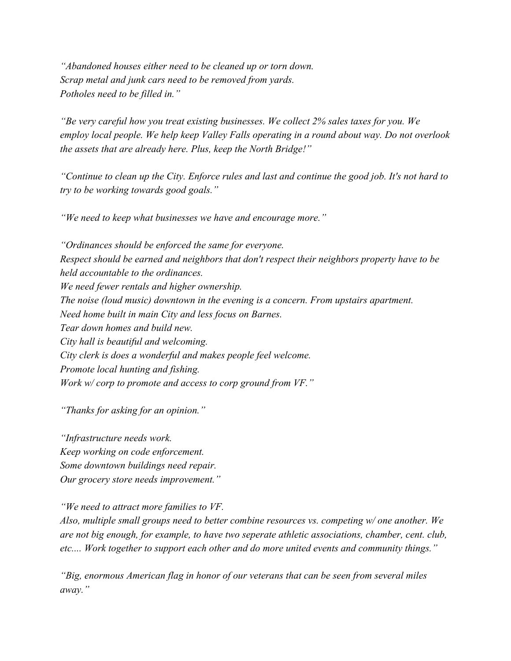*"Abandoned houses either need to be cleaned up or torn down. Scrap metal and junk cars need to be removed from yards. Potholes need to be filled in."*

*"Be very careful how you treat existing businesses. We collect 2% sales taxes for you. We employ local people. We help keep Valley Falls operating in a round about way. Do not overlook the assets that are already here. Plus, keep the North Bridge!"*

*"Continue to clean up the City. Enforce rules and last and continue the good job. It's not hard to try to be working towards good goals."*

*"We need to keep what businesses we have and encourage more."*

*"Ordinances should be enforced the same for everyone. Respect should be earned and neighbors that don't respect their neighbors property have to be held accountable to the ordinances. We need fewer rentals and higher ownership. The noise (loud music) downtown in the evening is a concern. From upstairs apartment. Need home built in main City and less focus on Barnes. Tear down homes and build new. City hall is beautiful and welcoming. City clerk is does a wonderful and makes people feel welcome. Promote local hunting and fishing. Work w/ corp to promote and access to corp ground from VF."*

*"Thanks for asking for an opinion."*

*"Infrastructure needs work. Keep working on code enforcement. Some downtown buildings need repair. Our grocery store needs improvement."*

*"We need to attract more families to VF.*

*Also, multiple small groups need to better combine resources vs. competing w/ one another. We are not big enough, for example, to have two seperate athletic associations, chamber, cent. club, etc.... Work together to support each other and do more united events and community things."*

*"Big, enormous American flag in honor of our veterans that can be seen from several miles away."*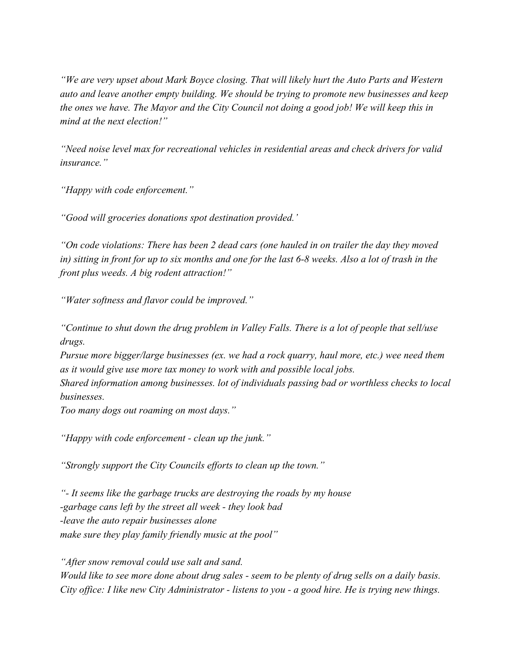*"We are very upset about Mark Boyce closing. That will likely hurt the Auto Parts and Western auto and leave another empty building. We should be trying to promote new businesses and keep the ones we have. The Mayor and the City Council not doing a good job! We will keep this in mind at the next election!"*

*"Need noise level max for recreational vehicles in residential areas and check drivers for valid insurance."*

*"Happy with code enforcement."*

*"Good will groceries donations spot destination provided.'*

*"On code violations: There has been 2 dead cars (one hauled in on trailer the day they moved in) sitting in front for up to six months and one for the last 6-8 weeks. Also a lot of trash in the front plus weeds. A big rodent attraction!"*

*"Water softness and flavor could be improved."*

*"Continue to shut down the drug problem in Valley Falls. There is a lot of people that sell/use drugs.*

*Pursue more bigger/large businesses (ex. we had a rock quarry, haul more, etc.) wee need them as it would give use more tax money to work with and possible local jobs.*

*Shared information among businesses. lot of individuals passing bad or worthless checks to local businesses.*

*Too many dogs out roaming on most days."*

*"Happy with code enforcement - clean up the junk."*

*"Strongly support the City Councils efforts to clean up the town."*

*"- It seems like the garbage trucks are destroying the roads by my house -garbage cans left by the street all week - they look bad -leave the auto repair businesses alone make sure they play family friendly music at the pool"*

*"After snow removal could use salt and sand. Would like to see more done about drug sales - seem to be plenty of drug sells on a daily basis. City office: I like new City Administrator - listens to you - a good hire. He is trying new things.*